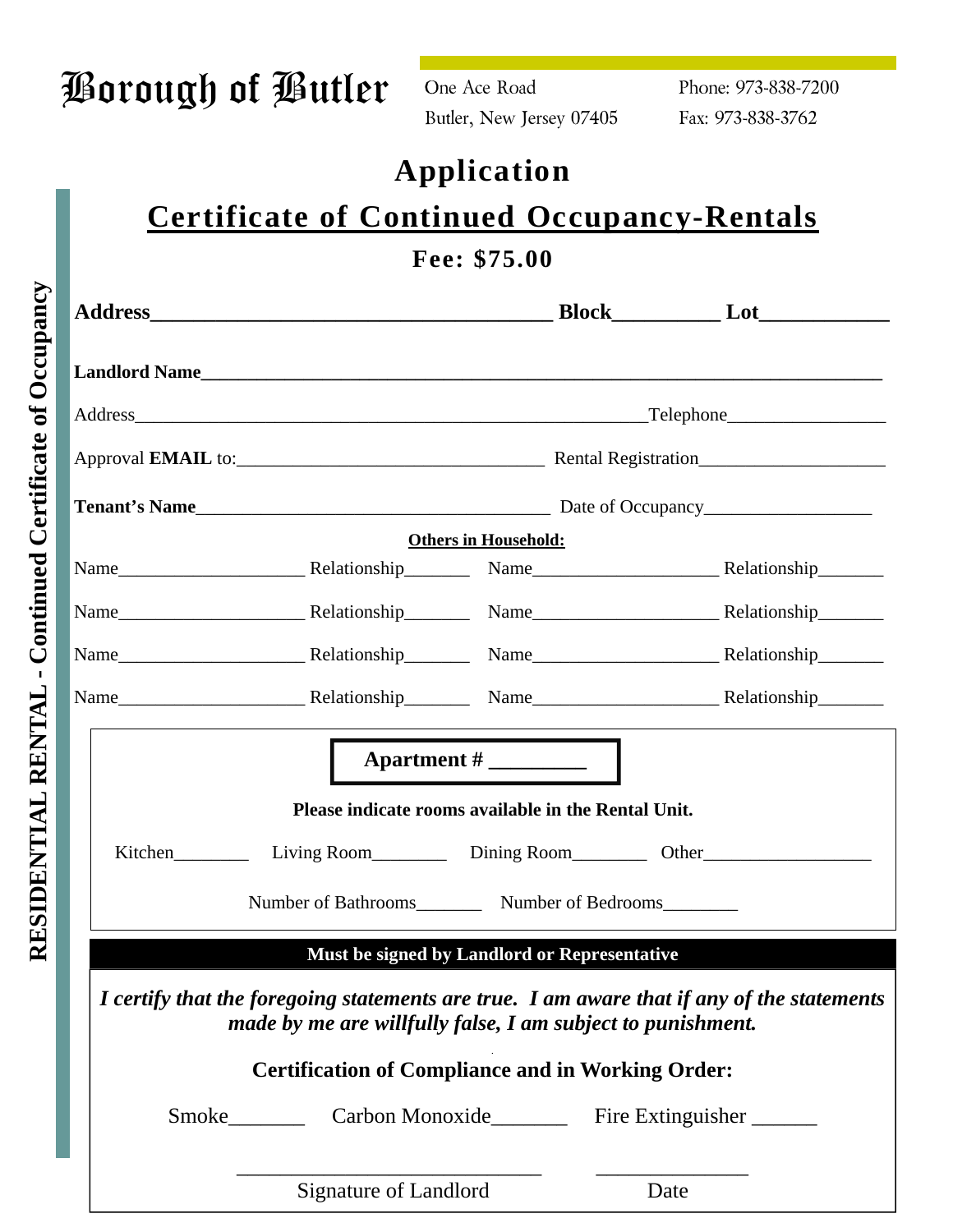| Borough of Butler |  |  |
|-------------------|--|--|
|                   |  |  |

One Ace Road Butler, New Jersey 07405 Phone: 973-838-7200 Fax: 973-838-3762

## **Application**

# **Certificate of Continued Occupancy-Rentals**

## **Fee: \$75.00**

|                       |                                                             | <b>Landlord Name Example 2018 Contract Contract Contract Contract Contract Contract Contract Contract Contract Contract Contract Contract Contract Contract Contract Contract Contract Contract Contract Contract Contract C</b> |
|-----------------------|-------------------------------------------------------------|----------------------------------------------------------------------------------------------------------------------------------------------------------------------------------------------------------------------------------|
|                       |                                                             |                                                                                                                                                                                                                                  |
|                       |                                                             |                                                                                                                                                                                                                                  |
|                       |                                                             |                                                                                                                                                                                                                                  |
|                       | <b>Others in Household:</b>                                 |                                                                                                                                                                                                                                  |
|                       |                                                             |                                                                                                                                                                                                                                  |
|                       |                                                             |                                                                                                                                                                                                                                  |
|                       |                                                             |                                                                                                                                                                                                                                  |
|                       |                                                             |                                                                                                                                                                                                                                  |
|                       |                                                             |                                                                                                                                                                                                                                  |
|                       | Please indicate rooms available in the Rental Unit.         |                                                                                                                                                                                                                                  |
|                       |                                                             |                                                                                                                                                                                                                                  |
|                       | Number of Bathrooms Number of Bedrooms                      |                                                                                                                                                                                                                                  |
|                       | Must be signed by Landlord or Representative                |                                                                                                                                                                                                                                  |
|                       | made by me are willfully false, I am subject to punishment. | I certify that the foregoing statements are true. I am aware that if any of the statements                                                                                                                                       |
|                       | <b>Certification of Compliance and in Working Order:</b>    |                                                                                                                                                                                                                                  |
|                       |                                                             |                                                                                                                                                                                                                                  |
| Signature of Landlord |                                                             | Date                                                                                                                                                                                                                             |